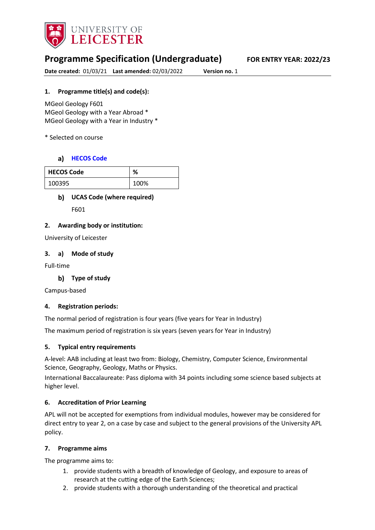

# **Programme Specification (Undergraduate) FOR ENTRY YEAR: 2022/23**

**Date created:** 01/03/21 **Last amended:** 02/03/2022 **Version no.** 1

### **1. Programme title(s) and code(s):**

MGeol Geology F601 MGeol Geology with a Year Abroad \* MGeol Geology with a Year in Industry \*

\* Selected on course

### **[HECOS Code](https://www.hesa.ac.uk/innovation/hecos)**

| <b>HECOS Code</b> | %    |
|-------------------|------|
| 100395            | 100% |

### **UCAS Code (where required)**

F601

### **2. Awarding body or institution:**

University of Leicester

#### **3. a) Mode of study**

Full-time

### **Type of study**

Campus-based

### **4. Registration periods:**

The normal period of registration is four years (five years for Year in Industry)

The maximum period of registration is six years (seven years for Year in Industry)

### **5. Typical entry requirements**

A-level: AAB including at least two from: Biology, Chemistry, Computer Science, Environmental Science, Geography, Geology, Maths or Physics.

International Baccalaureate: Pass diploma with 34 points including some science based subjects at higher level.

### **6. Accreditation of Prior Learning**

APL will not be accepted for exemptions from individual modules, however may be considered for direct entry to year 2, on a case by case and subject to the general provisions of the University APL policy.

#### **7. Programme aims**

The programme aims to:

- 1. provide students with a breadth of knowledge of Geology, and exposure to areas of research at the cutting edge of the Earth Sciences;
- 2. provide students with a thorough understanding of the theoretical and practical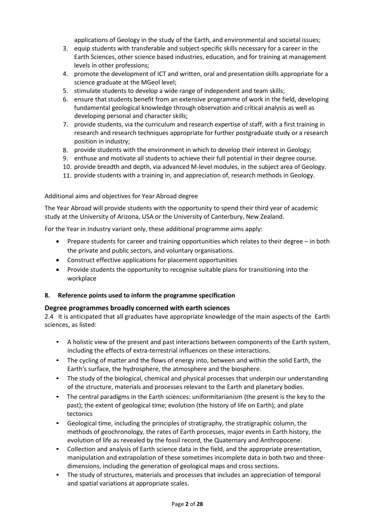applications of Geology in the study of the Earth, and environmental and societal issues;

- 3. equip students with transferable and subject-specific skills necessary for a career in the Earth Sciences, other science based industries, education, and for training at management levels in other professions;
- 4. promote the development of ICT and written, oral and presentation skills appropriate for a science graduate at the MGeol level;
- 5. stimulate students to develop a wide range of independent and team skills;
- 6. ensure that students benefit from an extensive programme of work in the field, developing fundamental geological knowledge through observation and critical analysis as well as developing personal and character skills;
- 7. provide students, via the curriculum and research expertise of staff, with a first training in research and research techniques appropriate for further postgraduate study or a research position in industry;
- 8. provide students with the environment in which to develop their interest in Geology;
- 9. enthuse and motivate all students to achieve their full potential in their degree course.
- 10. provide breadth and depth, via advanced M-level modules, in the subject area of Geology.
- 11. provide students with a training in, and appreciation of, research methods in Geology.

#### Additional aims and objectives for Year Abroad degree

The Year Abroad will provide students with the opportunity to spend their third year of academic study at the University of Arizona, USA or the University of Canterbury, New Zealand.

For the Year in Industry variant only, these additional programme aims apply:

- Prepare students for career and training opportunities which relates to their degree in both the private and public sectors, and voluntary organisations.
- Construct effective applications for placement opportunities
- Provide students the opportunity to recognise suitable plans for transitioning into the workplace

### **8. Reference points used to inform the programme specification**

### **Degree programmes broadly concerned with earth sciences**

2.4 It is anticipated that all graduates have appropriate knowledge of the main aspects of the Earth sciences, as listed:

- A holistic view of the present and past interactions between components of the Earth system, including the effects of extra-terrestrial influences on these interactions.
- The cycling of matter and the flows of energy into, between and within the solid Earth, the Earth's surface, the hydrosphere, the atmosphere and the biosphere.
- The study of the biological, chemical and physical processes that underpin our understanding of the structure, materials and processes relevant to the Earth and planetary bodies.
- The central paradigms in the Earth sciences: uniformitarianism (the present is the key to the past); the extent of geological time; evolution (the history of life on Earth); and plate tectonics
- Geological time, including the principles of stratigraphy, the stratigraphic column, the methods of geochronology, the rates of Earth processes, major events in Earth history, the evolution of life as revealed by the fossil record, the Quaternary and Anthropocene.
- Collection and analysis of Earth science data in the field, and the appropriate presentation, manipulation and extrapolation of these sometimes incomplete data in both two and threedimensions, including the generation of geological maps and cross sections.
- The study of structures, materials and processes that includes an appreciation of temporal and spatial variations at appropriate scales.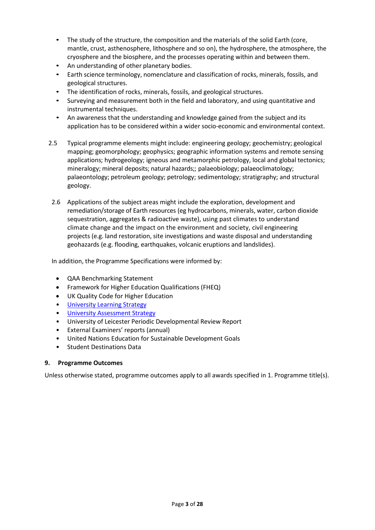- The study of the structure, the composition and the materials of the solid Earth (core, mantle, crust, asthenosphere, lithosphere and so on), the hydrosphere, the atmosphere, the cryosphere and the biosphere, and the processes operating within and between them.
- An understanding of other planetary bodies.
- Earth science terminology, nomenclature and classification of rocks, minerals, fossils, and geological structures.
- The identification of rocks, minerals, fossils, and geological structures.
- Surveying and measurement both in the field and laboratory, and using quantitative and instrumental techniques.
- An awareness that the understanding and knowledge gained from the subject and its application has to be considered within a wider socio-economic and environmental context.
- 2.5 Typical programme elements might include: engineering geology; geochemistry; geological mapping; geomorphology; geophysics; geographic information systems and remote sensing applications; hydrogeology; igneous and metamorphic petrology, local and global tectonics; mineralogy; mineral deposits; natural hazards;; palaeobiology; palaeoclimatology; palaeontology; petroleum geology; petrology; sedimentology; stratigraphy; and structural geology.
- 2.6 Applications of the subject areas might include the exploration, development and remediation/storage of Earth resources (eg hydrocarbons, minerals, water, carbon dioxide sequestration, aggregates & radioactive waste), using past climates to understand climate change and the impact on the environment and society, civil engineering projects (e.g. land restoration, site investigations and waste disposal and understanding geohazards (e.g. flooding, earthquakes, volcanic eruptions and landslides).

In addition, the Programme Specifications were informed by:

- QAA Benchmarking Statement
- Framework for Higher Education Qualifications (FHEQ)
- UK Quality Code for Higher Education
- University Learnin[g Strategy](https://www2.le.ac.uk/offices/sas2/quality/learnteach)
- [University Assessment Strategy](https://www2.le.ac.uk/offices/sas2/quality/learnteach)
- University of Leicester Periodic Developmental Review Report
- External Examiners' reports (annual)
- United Nations Education for Sustainable Development Goals
- Student Destinations Data

#### **9. Programme Outcomes**

Unless otherwise stated, programme outcomes apply to all awards specified in 1. Programme title(s).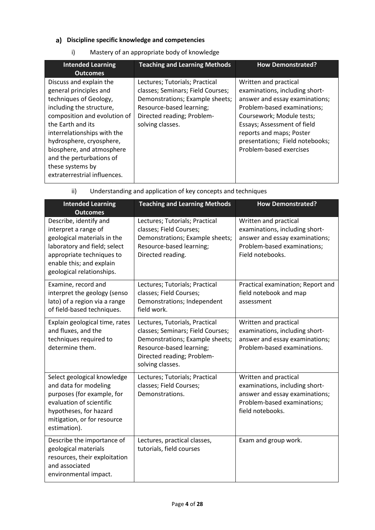# **Discipline specific knowledge and competencies**

| i)<br>Mastery of an appropriate body of knowledge |
|---------------------------------------------------|
|---------------------------------------------------|

| <b>Intended Learning</b><br><b>Outcomes</b>                                                                                                                                                                                                                                                                                          | <b>Teaching and Learning Methods</b>                                                                                                                                                 | <b>How Demonstrated?</b>                                                                                                                                                                                                                                                       |
|--------------------------------------------------------------------------------------------------------------------------------------------------------------------------------------------------------------------------------------------------------------------------------------------------------------------------------------|--------------------------------------------------------------------------------------------------------------------------------------------------------------------------------------|--------------------------------------------------------------------------------------------------------------------------------------------------------------------------------------------------------------------------------------------------------------------------------|
| Discuss and explain the<br>general principles and<br>techniques of Geology,<br>including the structure,<br>composition and evolution of<br>the Earth and its<br>interrelationships with the<br>hydrosphere, cryosphere,<br>biosphere, and atmosphere<br>and the perturbations of<br>these systems by<br>extraterrestrial influences. | Lectures; Tutorials; Practical<br>classes; Seminars; Field Courses;<br>Demonstrations; Example sheets;<br>Resource-based learning;<br>Directed reading; Problem-<br>solving classes. | Written and practical<br>examinations, including short-<br>answer and essay examinations;<br>Problem-based examinations;<br>Coursework; Module tests;<br>Essays; Assessment of field<br>reports and maps; Poster<br>presentations; Field notebooks;<br>Problem-based exercises |

# ii) Understanding and application of key concepts and techniques

| <b>Intended Learning</b><br><b>Outcomes</b>                                                                                                                                                         | <b>Teaching and Learning Methods</b>                                                                                                                                                 | <b>How Demonstrated?</b>                                                                                                                     |
|-----------------------------------------------------------------------------------------------------------------------------------------------------------------------------------------------------|--------------------------------------------------------------------------------------------------------------------------------------------------------------------------------------|----------------------------------------------------------------------------------------------------------------------------------------------|
| Describe, identify and<br>interpret a range of<br>geological materials in the<br>laboratory and field; select<br>appropriate techniques to<br>enable this; and explain<br>geological relationships. | Lectures; Tutorials; Practical<br>classes; Field Courses;<br>Demonstrations; Example sheets;<br>Resource-based learning;<br>Directed reading.                                        | Written and practical<br>examinations, including short-<br>answer and essay examinations;<br>Problem-based examinations;<br>Field notebooks. |
| Examine, record and<br>interpret the geology (senso<br>lato) of a region via a range<br>of field-based techniques.                                                                                  | Lectures; Tutorials; Practical<br>classes; Field Courses;<br>Demonstrations; Independent<br>field work.                                                                              | Practical examination; Report and<br>field notebook and map<br>assessment                                                                    |
| Explain geological time, rates<br>and fluxes, and the<br>techniques required to<br>determine them.                                                                                                  | Lectures, Tutorials, Practical<br>classes; Seminars; Field Courses;<br>Demonstrations; Example sheets;<br>Resource-based learning;<br>Directed reading; Problem-<br>solving classes. | Written and practical<br>examinations, including short-<br>answer and essay examinations;<br>Problem-based examinations.                     |
| Select geological knowledge<br>and data for modeling<br>purposes (for example, for<br>evaluation of scientific<br>hypotheses, for hazard<br>mitigation, or for resource<br>estimation).             | Lectures; Tutorials; Practical<br>classes; Field Courses;<br>Demonstrations.                                                                                                         | Written and practical<br>examinations, including short-<br>answer and essay examinations;<br>Problem-based examinations;<br>field notebooks. |
| Describe the importance of<br>geological materials<br>resources, their exploitation<br>and associated<br>environmental impact.                                                                      | Lectures, practical classes,<br>tutorials, field courses                                                                                                                             | Exam and group work.                                                                                                                         |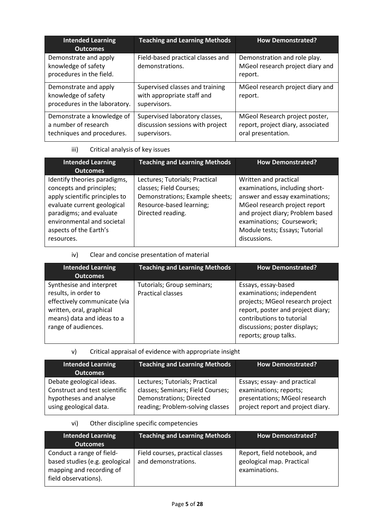| <b>Intended Learning</b><br><b>Outcomes</b>                                      | <b>Teaching and Learning Methods</b>                                               | <b>How Demonstrated?</b>                                                                  |
|----------------------------------------------------------------------------------|------------------------------------------------------------------------------------|-------------------------------------------------------------------------------------------|
| Demonstrate and apply<br>knowledge of safety<br>procedures in the field.         | Field-based practical classes and<br>demonstrations.                               | Demonstration and role play.<br>MGeol research project diary and<br>report.               |
| Demonstrate and apply<br>knowledge of safety<br>procedures in the laboratory.    | Supervised classes and training<br>with appropriate staff and<br>supervisors.      | MGeol research project diary and<br>report.                                               |
| Demonstrate a knowledge of<br>a number of research<br>techniques and procedures. | Supervised laboratory classes,<br>discussion sessions with project<br>supervisors. | MGeol Research project poster,<br>report, project diary, associated<br>oral presentation. |

## iii) Critical analysis of key issues

| <b>Intended Learning</b><br><b>Outcomes</b>                                                                                                                                                                                | <b>Teaching and Learning Methods</b>                                                                                                          | <b>How Demonstrated?</b>                                                                                                                                                                                                                      |
|----------------------------------------------------------------------------------------------------------------------------------------------------------------------------------------------------------------------------|-----------------------------------------------------------------------------------------------------------------------------------------------|-----------------------------------------------------------------------------------------------------------------------------------------------------------------------------------------------------------------------------------------------|
| Identify theories paradigms,<br>concepts and principles;<br>apply scientific principles to<br>evaluate current geological<br>paradigms; and evaluate<br>environmental and societal<br>aspects of the Earth's<br>resources. | Lectures; Tutorials; Practical<br>classes; Field Courses;<br>Demonstrations; Example sheets;<br>Resource-based learning;<br>Directed reading. | Written and practical<br>examinations, including short-<br>answer and essay examinations;<br>MGeol research project report<br>and project diary; Problem based<br>examinations; Coursework;<br>Module tests; Essays; Tutorial<br>discussions. |

## iv) Clear and concise presentation of material

| <b>Intended Learning</b><br>Outcomes                                                                                                                              | <b>Teaching and Learning Methods</b>                   | <b>How Demonstrated?</b>                                                                                                                                                                                         |
|-------------------------------------------------------------------------------------------------------------------------------------------------------------------|--------------------------------------------------------|------------------------------------------------------------------------------------------------------------------------------------------------------------------------------------------------------------------|
| Synthesise and interpret<br>results, in order to<br>effectively communicate (via<br>written, oral, graphical<br>means) data and ideas to a<br>range of audiences. | Tutorials; Group seminars;<br><b>Practical classes</b> | Essays, essay-based<br>examinations; independent<br>projects; MGeol research project<br>report, poster and project diary;<br>contributions to tutorial<br>discussions; poster displays;<br>reports; group talks. |

## v) Critical appraisal of evidence with appropriate insight

| <b>Intended Learning</b><br><b>Outcomes</b> | <b>Teaching and Learning Methods</b> | <b>How Demonstrated?</b>          |
|---------------------------------------------|--------------------------------------|-----------------------------------|
| Debate geological ideas.                    | Lectures; Tutorials; Practical       | Essays; essay- and practical      |
| Construct and test scientific               | classes; Seminars; Field Courses;    | examinations; reports;            |
| hypotheses and analyse                      | Demonstrations; Directed             | presentations; MGeol research     |
| using geological data.                      | reading; Problem-solving classes     | project report and project diary. |

### vi) Other discipline specific competencies

| <b>Intended Learning</b><br><b>Outcomes</b>                                                                     | <b>Teaching and Learning Methods</b>                    | <b>How Demonstrated?</b>                                                  |
|-----------------------------------------------------------------------------------------------------------------|---------------------------------------------------------|---------------------------------------------------------------------------|
| Conduct a range of field-<br>based studies (e.g. geological<br>mapping and recording of<br>field observations). | Field courses, practical classes<br>and demonstrations. | Report, field notebook, and<br>geological map. Practical<br>examinations. |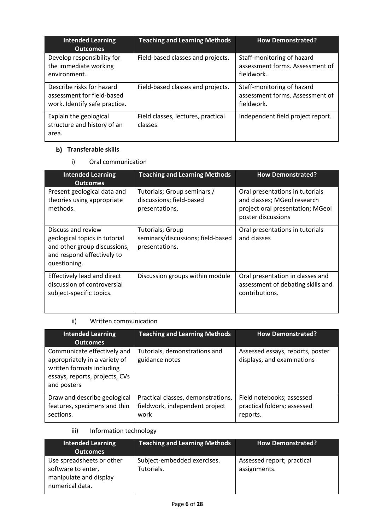| <b>Intended Learning</b><br><b>Outcomes</b>                                              | <b>Teaching and Learning Methods</b>           | <b>How Demonstrated?</b>                                                    |
|------------------------------------------------------------------------------------------|------------------------------------------------|-----------------------------------------------------------------------------|
| Develop responsibility for<br>the immediate working<br>environment.                      | Field-based classes and projects.              | Staff-monitoring of hazard<br>assessment forms. Assessment of<br>fieldwork. |
| Describe risks for hazard<br>assessment for field-based<br>work. Identify safe practice. | Field-based classes and projects.              | Staff-monitoring of hazard<br>assessment forms. Assessment of<br>fieldwork. |
| Explain the geological<br>structure and history of an<br>area.                           | Field classes, lectures, practical<br>classes. | Independent field project report.                                           |

# **b)** Transferable skills

i) Oral communication

| <b>Intended Learning</b><br><b>Outcomes</b>                                                                                       | <b>Teaching and Learning Methods</b>                                      | <b>How Demonstrated?</b>                                                                                                 |
|-----------------------------------------------------------------------------------------------------------------------------------|---------------------------------------------------------------------------|--------------------------------------------------------------------------------------------------------------------------|
| Present geological data and<br>theories using appropriate<br>methods.                                                             | Tutorials; Group seminars /<br>discussions; field-based<br>presentations. | Oral presentations in tutorials<br>and classes; MGeol research<br>project oral presentation; MGeol<br>poster discussions |
| Discuss and review<br>geological topics in tutorial<br>and other group discussions,<br>and respond effectively to<br>questioning. | Tutorials; Group<br>seminars/discussions; field-based<br>presentations.   | Oral presentations in tutorials<br>and classes                                                                           |
| Effectively lead and direct<br>discussion of controversial<br>subject-specific topics.                                            | Discussion groups within module                                           | Oral presentation in classes and<br>assessment of debating skills and<br>contributions.                                  |

# ii) Written communication

| <b>Intended Learning</b><br><b>Outcomes</b>                                                                                                | <b>Teaching and Learning Methods</b>                                         | <b>How Demonstrated?</b>                                             |
|--------------------------------------------------------------------------------------------------------------------------------------------|------------------------------------------------------------------------------|----------------------------------------------------------------------|
| Communicate effectively and<br>appropriately in a variety of<br>written formats including<br>essays, reports, projects, CVs<br>and posters | Tutorials, demonstrations and<br>guidance notes                              | Assessed essays, reports, poster<br>displays, and examinations       |
| Draw and describe geological<br>features, specimens and thin<br>sections.                                                                  | Practical classes, demonstrations,<br>fieldwork, independent project<br>work | Field notebooks; assessed<br>practical folders; assessed<br>reports. |

# iii) Information technology

| Intended Learning<br><b>Outcomes</b>                                                         | <b>Teaching and Learning Methods</b>      | <b>How Demonstrated?</b>                   |
|----------------------------------------------------------------------------------------------|-------------------------------------------|--------------------------------------------|
| Use spreadsheets or other<br>software to enter,<br>manipulate and display<br>numerical data. | Subject-embedded exercises.<br>Tutorials. | Assessed report; practical<br>assignments. |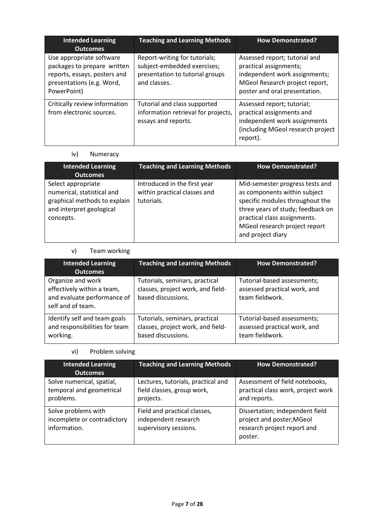| <b>Intended Learning</b><br><b>Outcomes</b>                                                                                         | <b>Teaching and Learning Methods</b>                                                                            | <b>How Demonstrated?</b>                                                                                                                                    |
|-------------------------------------------------------------------------------------------------------------------------------------|-----------------------------------------------------------------------------------------------------------------|-------------------------------------------------------------------------------------------------------------------------------------------------------------|
| Use appropriate software<br>packages to prepare written<br>reports, essays, posters and<br>presentations (e.g. Word,<br>PowerPoint) | Report-writing for tutorials;<br>subject-embedded exercises;<br>presentation to tutorial groups<br>and classes. | Assessed report; tutorial and<br>practical assignments;<br>independent work assignments;<br>MGeol Research project report,<br>poster and oral presentation. |
| Critically review information<br>from electronic sources.                                                                           | Tutorial and class supported<br>information retrieval for projects,<br>essays and reports.                      | Assessed report; tutorial;<br>practical assignments and<br>independent work assignments<br>(including MGeol research project<br>report).                    |

### iv) Numeracy

| <b>Intended Learning</b><br><b>Outcomes</b>                                                                               | <b>Teaching and Learning Methods</b>                                       | <b>How Demonstrated?</b>                                                                                                                                                                                                      |
|---------------------------------------------------------------------------------------------------------------------------|----------------------------------------------------------------------------|-------------------------------------------------------------------------------------------------------------------------------------------------------------------------------------------------------------------------------|
| Select appropriate<br>numerical, statistical and<br>graphical methods to explain<br>and interpret geological<br>concepts. | Introduced in the first year<br>within practical classes and<br>tutorials. | Mid-semester progress tests and<br>as components within subject<br>specific modules throughout the<br>three years of study; feedback on<br>practical class assignments.<br>MGeol research project report<br>and project diary |

## v) Team working

| <b>Intended Learning</b><br><b>Outcomes</b>                                                         | <b>Teaching and Learning Methods</b>                                                      | <b>How Demonstrated?</b>                                                       |
|-----------------------------------------------------------------------------------------------------|-------------------------------------------------------------------------------------------|--------------------------------------------------------------------------------|
| Organize and work<br>effectively within a team,<br>and evaluate performance of<br>self and of team. | Tutorials, seminars, practical<br>classes, project work, and field-<br>based discussions. | Tutorial-based assessments;<br>assessed practical work, and<br>team fieldwork. |
| Identify self and team goals<br>and responsibilities for team<br>working.                           | Tutorials, seminars, practical<br>classes, project work, and field-<br>based discussions. | Tutorial-based assessments;<br>assessed practical work, and<br>team fieldwork. |

# vi) Problem solving

| <b>Intended Learning</b><br><b>Outcomes</b>                        | <b>Teaching and Learning Methods</b>                                          | <b>How Demonstrated?</b>                                                                               |  |
|--------------------------------------------------------------------|-------------------------------------------------------------------------------|--------------------------------------------------------------------------------------------------------|--|
| Solve numerical, spatial,<br>temporal and geometrical<br>problems. | Lectures, tutorials, practical and<br>field classes, group work,<br>projects. | Assessment of field notebooks,<br>practical class work, project work<br>and reports.                   |  |
| Solve problems with<br>incomplete or contradictory<br>information. | Field and practical classes,<br>independent research<br>supervisory sessions. | Dissertation; independent field<br>project and poster; MGeol<br>research project report and<br>poster. |  |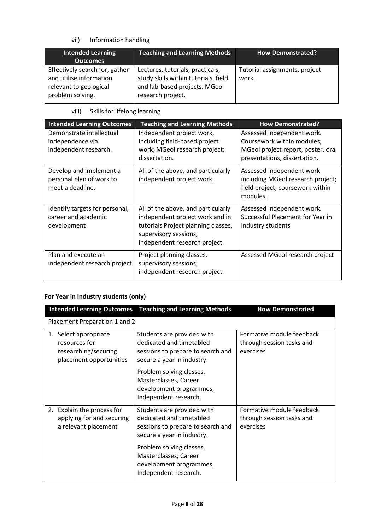vii) Information handling

| <b>Intended Learning</b><br><b>Outcomes</b>                                                             | <b>Teaching and Learning Methods</b>                                                                                           | <b>How Demonstrated?</b>               |
|---------------------------------------------------------------------------------------------------------|--------------------------------------------------------------------------------------------------------------------------------|----------------------------------------|
| Effectively search for, gather<br>and utilise information<br>relevant to geological<br>problem solving. | Lectures, tutorials, practicals,<br>study skills within tutorials, field<br>and lab-based projects. MGeol<br>research project. | Tutorial assignments, project<br>work. |

viii) Skills for lifelong learning

| <b>Intended Learning Outcomes</b>                                       | <b>Teaching and Learning Methods</b>                                                                                                                                   | <b>How Demonstrated?</b>                                                                                                       |
|-------------------------------------------------------------------------|------------------------------------------------------------------------------------------------------------------------------------------------------------------------|--------------------------------------------------------------------------------------------------------------------------------|
| Demonstrate intellectual<br>independence via<br>independent research.   | Independent project work,<br>including field-based project<br>work; MGeol research project;<br>dissertation.                                                           | Assessed independent work.<br>Coursework within modules;<br>MGeol project report, poster, oral<br>presentations, dissertation. |
| Develop and implement a<br>personal plan of work to<br>meet a deadline. | All of the above, and particularly<br>independent project work.                                                                                                        | Assessed independent work<br>including MGeol research project;<br>field project, coursework within<br>modules.                 |
| Identify targets for personal,<br>career and academic<br>development    | All of the above, and particularly<br>independent project work and in<br>tutorials Project planning classes,<br>supervisory sessions,<br>independent research project. | Assessed independent work.<br>Successful Placement for Year in<br>Industry students                                            |
| Plan and execute an<br>independent research project                     | Project planning classes,<br>supervisory sessions,<br>independent research project.                                                                                    | Assessed MGeol research project                                                                                                |

# **For Year in Industry students (only)**

|                                                                                                                                                                                                                        | <b>Intended Learning Outcomes</b> Teaching and Learning Methods                                                           | <b>How Demonstrated</b>                                             |  |  |  |
|------------------------------------------------------------------------------------------------------------------------------------------------------------------------------------------------------------------------|---------------------------------------------------------------------------------------------------------------------------|---------------------------------------------------------------------|--|--|--|
|                                                                                                                                                                                                                        | Placement Preparation 1 and 2                                                                                             |                                                                     |  |  |  |
| Students are provided with<br>1. Select appropriate<br>dedicated and timetabled<br>resources for<br>researching/securing<br>sessions to prepare to search and<br>placement opportunities<br>secure a year in industry. |                                                                                                                           | Formative module feedback<br>through session tasks and<br>exercises |  |  |  |
|                                                                                                                                                                                                                        | Problem solving classes,<br>Masterclasses, Career<br>development programmes,<br>Independent research.                     |                                                                     |  |  |  |
| 2. Explain the process for<br>applying for and securing<br>a relevant placement                                                                                                                                        | Students are provided with<br>dedicated and timetabled<br>sessions to prepare to search and<br>secure a year in industry. | Formative module feedback<br>through session tasks and<br>exercises |  |  |  |
|                                                                                                                                                                                                                        | Problem solving classes,<br>Masterclasses, Career<br>development programmes,<br>Independent research.                     |                                                                     |  |  |  |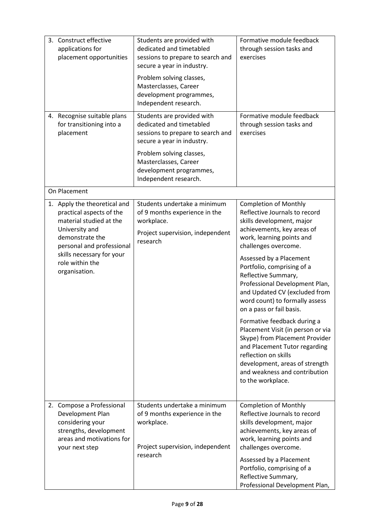| 3. Construct effective<br>applications for<br>placement opportunities                                                                                                                                                  | Students are provided with<br>dedicated and timetabled<br>sessions to prepare to search and<br>secure a year in industry.<br>Problem solving classes,<br>Masterclasses, Career | Formative module feedback<br>through session tasks and<br>exercises                                                                                                                                                                                                                                                                                                                                                                                                                                                                                                                                                                                   |
|------------------------------------------------------------------------------------------------------------------------------------------------------------------------------------------------------------------------|--------------------------------------------------------------------------------------------------------------------------------------------------------------------------------|-------------------------------------------------------------------------------------------------------------------------------------------------------------------------------------------------------------------------------------------------------------------------------------------------------------------------------------------------------------------------------------------------------------------------------------------------------------------------------------------------------------------------------------------------------------------------------------------------------------------------------------------------------|
|                                                                                                                                                                                                                        | development programmes,<br>Independent research.                                                                                                                               |                                                                                                                                                                                                                                                                                                                                                                                                                                                                                                                                                                                                                                                       |
| 4. Recognise suitable plans<br>for transitioning into a<br>placement                                                                                                                                                   | Students are provided with<br>dedicated and timetabled<br>sessions to prepare to search and<br>secure a year in industry.                                                      | Formative module feedback<br>through session tasks and<br>exercises                                                                                                                                                                                                                                                                                                                                                                                                                                                                                                                                                                                   |
|                                                                                                                                                                                                                        | Problem solving classes,<br>Masterclasses, Career<br>development programmes,<br>Independent research.                                                                          |                                                                                                                                                                                                                                                                                                                                                                                                                                                                                                                                                                                                                                                       |
| On Placement                                                                                                                                                                                                           |                                                                                                                                                                                |                                                                                                                                                                                                                                                                                                                                                                                                                                                                                                                                                                                                                                                       |
| 1. Apply the theoretical and<br>practical aspects of the<br>material studied at the<br>University and<br>demonstrate the<br>personal and professional<br>skills necessary for your<br>role within the<br>organisation. | Students undertake a minimum<br>of 9 months experience in the<br>workplace.<br>Project supervision, independent<br>research                                                    | <b>Completion of Monthly</b><br>Reflective Journals to record<br>skills development, major<br>achievements, key areas of<br>work, learning points and<br>challenges overcome.<br>Assessed by a Placement<br>Portfolio, comprising of a<br>Reflective Summary,<br>Professional Development Plan,<br>and Updated CV (excluded from<br>word count) to formally assess<br>on a pass or fail basis.<br>Formative feedback during a<br>Placement Visit (in person or via<br>Skype) from Placement Provider<br>and Placement Tutor regarding<br>reflection on skills<br>development, areas of strength<br>and weakness and contribution<br>to the workplace. |
| 2. Compose a Professional<br>Development Plan<br>considering your<br>strengths, development<br>areas and motivations for<br>your next step                                                                             | Students undertake a minimum<br>of 9 months experience in the<br>workplace.<br>Project supervision, independent<br>research                                                    | <b>Completion of Monthly</b><br>Reflective Journals to record<br>skills development, major<br>achievements, key areas of<br>work, learning points and<br>challenges overcome.<br>Assessed by a Placement<br>Portfolio, comprising of a<br>Reflective Summary,<br>Professional Development Plan,                                                                                                                                                                                                                                                                                                                                                       |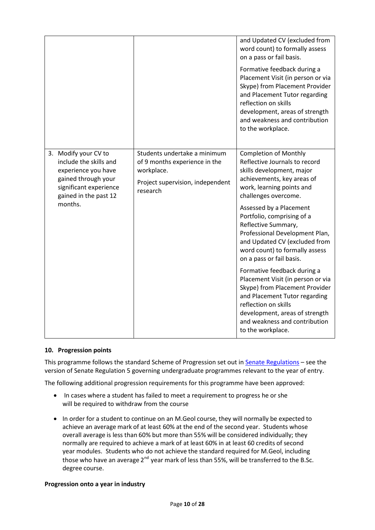|                                                                                                                                                            |                                                                                                                             | and Updated CV (excluded from<br>word count) to formally assess<br>on a pass or fail basis.<br>Formative feedback during a<br>Placement Visit (in person or via<br>Skype) from Placement Provider<br>and Placement Tutor regarding<br>reflection on skills<br>development, areas of strength<br>and weakness and contribution<br>to the workplace.                                             |
|------------------------------------------------------------------------------------------------------------------------------------------------------------|-----------------------------------------------------------------------------------------------------------------------------|------------------------------------------------------------------------------------------------------------------------------------------------------------------------------------------------------------------------------------------------------------------------------------------------------------------------------------------------------------------------------------------------|
| 3. Modify your CV to<br>include the skills and<br>experience you have<br>gained through your<br>significant experience<br>gained in the past 12<br>months. | Students undertake a minimum<br>of 9 months experience in the<br>workplace.<br>Project supervision, independent<br>research | <b>Completion of Monthly</b><br>Reflective Journals to record<br>skills development, major<br>achievements, key areas of<br>work, learning points and<br>challenges overcome.<br>Assessed by a Placement<br>Portfolio, comprising of a<br>Reflective Summary,<br>Professional Development Plan,<br>and Updated CV (excluded from<br>word count) to formally assess<br>on a pass or fail basis. |
|                                                                                                                                                            |                                                                                                                             | Formative feedback during a<br>Placement Visit (in person or via<br>Skype) from Placement Provider<br>and Placement Tutor regarding<br>reflection on skills<br>development, areas of strength<br>and weakness and contribution<br>to the workplace.                                                                                                                                            |

#### **10. Progression points**

This programme follows the standard Scheme of Progression set out i[n Senate Regulations](http://www.le.ac.uk/senate-regulations) – see the version of Senate Regulation 5 governing undergraduate programmes relevant to the year of entry.

The following additional progression requirements for this programme have been approved:

- In cases where a student has failed to meet a requirement to progress he or she will be required to withdraw from the course
- In order for a student to continue on an M.Geol course, they will normally be expected to achieve an average mark of at least 60% at the end of the second year. Students whose overall average is less than 60% but more than 55% will be considered individually; they normally are required to achieve a mark of at least 60% in at least 60 credits of second year modules. Students who do not achieve the standard required for M.Geol, including those who have an average  $2^{nd}$  year mark of less than 55%, will be transferred to the B.Sc. degree course.

#### **Progression onto a year in industry**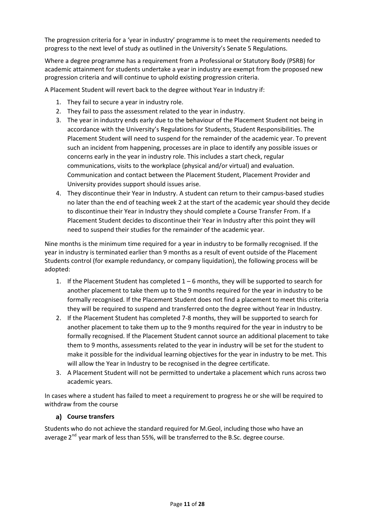The progression criteria for a 'year in industry' programme is to meet the requirements needed to progress to the next level of study as outlined in the University's Senate 5 Regulations.

Where a degree programme has a requirement from a Professional or Statutory Body (PSRB) for academic attainment for students undertake a year in industry are exempt from the proposed new progression criteria and will continue to uphold existing progression criteria.

A Placement Student will revert back to the degree without Year in Industry if:

- 1. They fail to secure a year in industry role.
- 2. They fail to pass the assessment related to the year in industry.
- 3. The year in industry ends early due to the behaviour of the Placement Student not being in accordance with the University's Regulations for Students, Student Responsibilities. The Placement Student will need to suspend for the remainder of the academic year. To prevent such an incident from happening, processes are in place to identify any possible issues or concerns early in the year in industry role. This includes a start check, regular communications, visits to the workplace (physical and/or virtual) and evaluation. Communication and contact between the Placement Student, Placement Provider and University provides support should issues arise.
- 4. They discontinue their Year in Industry. A student can return to their campus-based studies no later than the end of teaching week 2 at the start of the academic year should they decide to discontinue their Year in Industry they should complete a Course Transfer From. If a Placement Student decides to discontinue their Year in Industry after this point they will need to suspend their studies for the remainder of the academic year.

Nine months is the minimum time required for a year in industry to be formally recognised. If the year in industry is terminated earlier than 9 months as a result of event outside of the Placement Students control (for example redundancy, or company liquidation), the following process will be adopted:

- 1. If the Placement Student has completed 1 6 months, they will be supported to search for another placement to take them up to the 9 months required for the year in industry to be formally recognised. If the Placement Student does not find a placement to meet this criteria they will be required to suspend and transferred onto the degree without Year in Industry.
- 2. If the Placement Student has completed 7-8 months, they will be supported to search for another placement to take them up to the 9 months required for the year in industry to be formally recognised. If the Placement Student cannot source an additional placement to take them to 9 months, assessments related to the year in industry will be set for the student to make it possible for the individual learning objectives for the year in industry to be met. This will allow the Year in Industry to be recognised in the degree certificate.
- 3. A Placement Student will not be permitted to undertake a placement which runs across two academic years.

In cases where a student has failed to meet a requirement to progress he or she will be required to withdraw from the course

### **Course transfers**

Students who do not achieve the standard required for M.Geol, including those who have an average  $2^{nd}$  year mark of less than 55%, will be transferred to the B.Sc. degree course.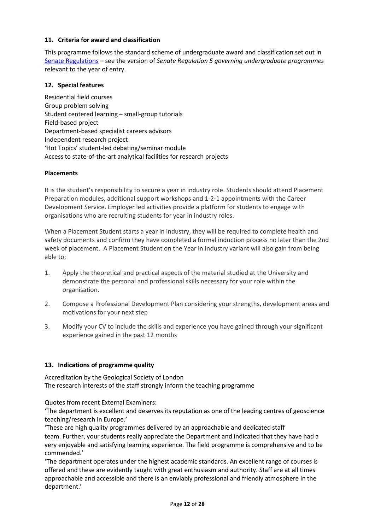#### **11. Criteria for award and classification**

This programme follows the standard scheme of undergraduate award and classification set out in [Senate Regulations](http://www.le.ac.uk/senate-regulations) – see the version of *Senate Regulation 5 governing undergraduate programmes* relevant to the year of entry.

#### **12. Special features**

Residential field courses Group problem solving Student centered learning – small-group tutorials Field-based project Department-based specialist careers advisors Independent research project 'Hot Topics' student-led debating/seminar module Access to state-of-the-art analytical facilities for research projects

#### **Placements**

It is the student's responsibility to secure a year in industry role. Students should attend Placement Preparation modules, additional support workshops and 1-2-1 appointments with the Career Development Service. Employer led activities provide a platform for students to engage with organisations who are recruiting students for year in industry roles.

When a Placement Student starts a year in industry, they will be required to complete health and safety documents and confirm they have completed a formal induction process no later than the 2nd week of placement. A Placement Student on the Year in Industry variant will also gain from being able to:

- 1. Apply the theoretical and practical aspects of the material studied at the University and demonstrate the personal and professional skills necessary for your role within the organisation.
- 2. Compose a Professional Development Plan considering your strengths, development areas and motivations for your next step
- 3. Modify your CV to include the skills and experience you have gained through your significant experience gained in the past 12 months

#### **13. Indications of programme quality**

Accreditation by the Geological Society of London The research interests of the staff strongly inform the teaching programme

Quotes from recent External Examiners:

'The department is excellent and deserves its reputation as one of the leading centres of geoscience teaching/research in Europe.'

'These are high quality programmes delivered by an approachable and dedicated staff team. Further, your students really appreciate the Department and indicated that they have had a very enjoyable and satisfying learning experience. The field programme is comprehensive and to be commended.'

'The department operates under the highest academic standards. An excellent range of courses is offered and these are evidently taught with great enthusiasm and authority. Staff are at all times approachable and accessible and there is an enviably professional and friendly atmosphere in the department.'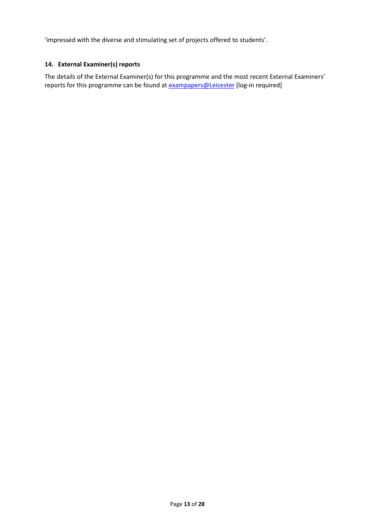'impressed with the diverse and stimulating set of projects offered to students'.

### **14. External Examiner(s) reports**

The details of the External Examiner(s) for this programme and the most recent External Examiners' reports for this programme can be found at **[exampapers@Leicester](https://exampapers.le.ac.uk/)** [log-in required]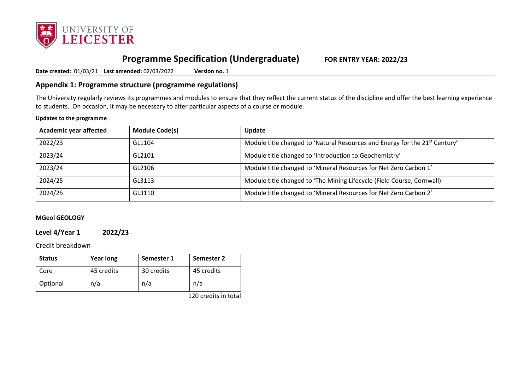

# **Programme Specification (Undergraduate) FOR ENTRY YEAR: 2022/23**

**Date created:** 01/03/21 **Last amended:** 02/03/2022 **Version no.** 1

### **Appendix 1: Programme structure (programme regulations)**

The University regularly reviews its programmes and modules to ensure that they reflect the current status of the discipline and offer the best learning experience to students. On occasion, it may be necessary to alter particular aspects of a course or module.

#### **Updates to the programme**

| Academic year affected | <b>Module Code(s)</b> | Update                                                                                  |
|------------------------|-----------------------|-----------------------------------------------------------------------------------------|
| 2022/23                | GL1104                | Module title changed to 'Natural Resources and Energy for the 21 <sup>st</sup> Century' |
| 2023/24                | GL2101                | Module title changed to 'Introduction to Geochemistry'                                  |
| 2023/24                | GL2106                | Module title changed to 'Mineral Resources for Net Zero Carbon 1'                       |
| 2024/25                | GL3113                | Module title changed to 'The Mining Lifecycle (Field Course, Cornwall)                  |
| 2024/25                | GL3110                | Module title changed to 'Mineral Resources for Net Zero Carbon 2'                       |

#### **MGeol GEOLOGY**

### **Level 4/Year 1 2022/23**

Credit breakdown

| <b>Status</b> | <b>Year long</b> | Semester 1 | Semester 2 |
|---------------|------------------|------------|------------|
| Core          | 45 credits       | 30 credits | 45 credits |
| Optional      | n/a              | n/a        | n/a        |

120 credits in total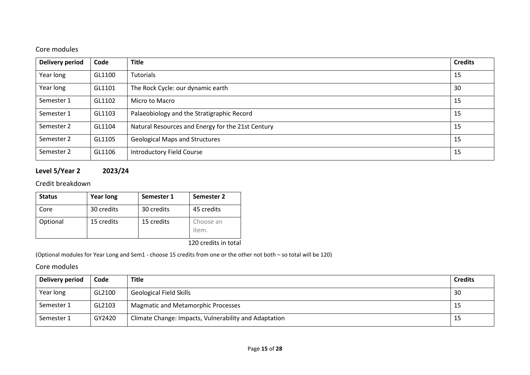# Core modules

| <b>Delivery period</b> | Code   | <b>Title</b>                                      | <b>Credits</b> |
|------------------------|--------|---------------------------------------------------|----------------|
| Year long              | GL1100 | Tutorials                                         | 15             |
| Year long              | GL1101 | The Rock Cycle: our dynamic earth                 | 30             |
| Semester 1             | GL1102 | Micro to Macro                                    | 15             |
| Semester 1             | GL1103 | Palaeobiology and the Stratigraphic Record        | 15             |
| Semester 2             | GL1104 | Natural Resources and Energy for the 21st Century | 15             |
| Semester 2             | GL1105 | <b>Geological Maps and Structures</b>             | 15             |
| Semester 2             | GL1106 | <b>Introductory Field Course</b>                  | 15             |

# **Level 5/Year 2 2023/24**

## Credit breakdown

| <b>Status</b> | <b>Year long</b> | Semester 1 | Semester 2         |
|---------------|------------------|------------|--------------------|
| Core          | 30 credits       | 30 credits | 45 credits         |
| Optional      | 15 credits       | 15 credits | Choose an<br>item. |

120 credits in total

(Optional modules for Year Long and Sem1 - choose 15 credits from one or the other not both – so total will be 120)

| Delivery period | Code   | <b>Title</b>                                          | <b>Credits</b> |
|-----------------|--------|-------------------------------------------------------|----------------|
| Year long       | GL2100 | <b>Geological Field Skills</b>                        | 30             |
| Semester 1      | GL2103 | <b>Magmatic and Metamorphic Processes</b>             | -15            |
| Semester 1      | GY2420 | Climate Change: Impacts, Vulnerability and Adaptation | -15            |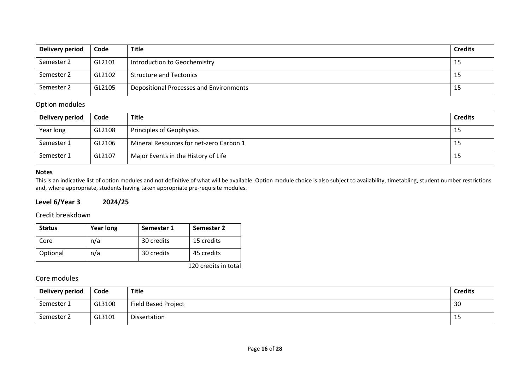| Delivery period | Code   | <b>Title</b>                            | <b>Credits</b> |
|-----------------|--------|-----------------------------------------|----------------|
| Semester 2      | GL2101 | Introduction to Geochemistry            | 15             |
| Semester 2      | GL2102 | <b>Structure and Tectonics</b>          | 15             |
| Semester 2      | GL2105 | Depositional Processes and Environments | 15             |

### Option modules

| Delivery period | Code   | <b>Title</b>                            | <b>Credits</b> |
|-----------------|--------|-----------------------------------------|----------------|
| Year long       | GL2108 | Principles of Geophysics                | -15            |
| Semester 1      | GL2106 | Mineral Resources for net-zero Carbon 1 | -15            |
| Semester 1      | GL2107 | Major Events in the History of Life     | -15            |

### **Notes**

This is an indicative list of option modules and not definitive of what will be available. Option module choice is also subject to availability, timetabling, student number restrictions and, where appropriate, students having taken appropriate pre-requisite modules.

### **Level 6/Year 3 2024/25**

### Credit breakdown

| <b>Status</b> | <b>Year long</b> | Semester 1 | Semester 2 |
|---------------|------------------|------------|------------|
| Core          | n/a              | 30 credits | 15 credits |
| Optional      | n/a              | 30 credits | 45 credits |

120 credits in total

| Delivery period | Code   | Title                      | <b>Credits</b> |
|-----------------|--------|----------------------------|----------------|
| Semester 1      | GL3100 | <b>Field Based Project</b> | 30             |
| Semester 2      | GL3101 | Dissertation               | ᅩ              |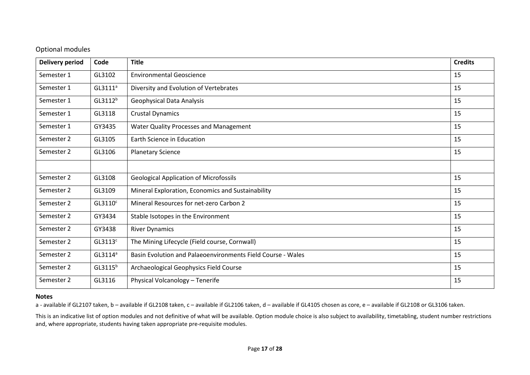### Optional modules

| <b>Delivery period</b> | Code                | <b>Title</b>                                                | <b>Credits</b> |
|------------------------|---------------------|-------------------------------------------------------------|----------------|
| Semester 1             | GL3102              | <b>Environmental Geoscience</b>                             | 15             |
| Semester 1             | GL3111 <sup>a</sup> | Diversity and Evolution of Vertebrates                      | 15             |
| Semester 1             | GL3112 <sup>b</sup> | <b>Geophysical Data Analysis</b>                            | 15             |
| Semester 1             | GL3118              | <b>Crustal Dynamics</b>                                     | 15             |
| Semester 1             | GY3435              | Water Quality Processes and Management                      | 15             |
| Semester 2             | GL3105              | Earth Science in Education                                  | 15             |
| Semester 2             | GL3106              | <b>Planetary Science</b>                                    | 15             |
|                        |                     |                                                             |                |
| Semester 2             | GL3108              | <b>Geological Application of Microfossils</b>               | 15             |
| Semester 2             | GL3109              | Mineral Exploration, Economics and Sustainability           | 15             |
| Semester 2             | GL3110 <sup>c</sup> | Mineral Resources for net-zero Carbon 2                     | 15             |
| Semester 2             | GY3434              | Stable Isotopes in the Environment                          | 15             |
| Semester 2             | GY3438              | <b>River Dynamics</b>                                       | 15             |
| Semester 2             | GL3113 <sup>c</sup> | The Mining Lifecycle (Field course, Cornwall)               | 15             |
| Semester 2             | $GL3114^a$          | Basin Evolution and Palaeoenvironments Field Course - Wales | 15             |
| Semester 2             | GL3115 <sup>b</sup> | Archaeological Geophysics Field Course                      | 15             |
| Semester 2             | GL3116              | Physical Volcanology - Tenerife                             | 15             |

#### **Notes**

a - available if GL2107 taken, b - available if GL2108 taken, c - available if GL2106 taken, d - available if GL4105 chosen as core, e - available if GL2108 or GL3106 taken.

This is an indicative list of option modules and not definitive of what will be available. Option module choice is also subject to availability, timetabling, student number restrictions and, where appropriate, students having taken appropriate pre-requisite modules.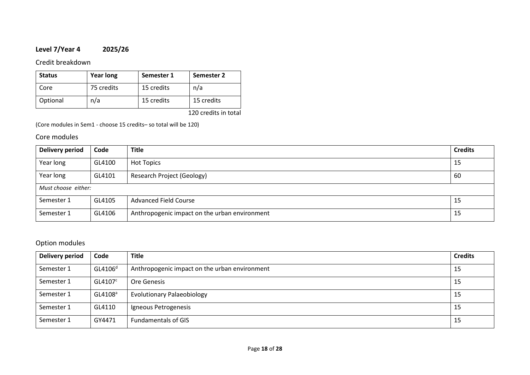# **Level 7/Year 4 2025/26**

Credit breakdown

| <b>Status</b> | <b>Year long</b> | Semester 1 | Semester 2 |
|---------------|------------------|------------|------------|
| Core          | 75 credits       | 15 credits | n/a        |
| Optional      | n/a              | 15 credits | 15 credits |

120 credits in total

(Core modules in Sem1 - choose 15 credits– so total will be 120)

### Core modules

| Delivery period     | Code   | <b>Title</b>                                  | <b>Credits</b> |
|---------------------|--------|-----------------------------------------------|----------------|
| Year long           | GL4100 | <b>Hot Topics</b>                             | 15             |
| Year long           | GL4101 | <b>Research Project (Geology)</b>             | 60             |
| Must choose either: |        |                                               |                |
| Semester 1          | GL4105 | <b>Advanced Field Course</b>                  | 15             |
| Semester 1          | GL4106 | Anthropogenic impact on the urban environment | 15             |

## Option modules

| <b>Delivery period</b> | Code                | <b>Title</b>                                  | <b>Credits</b> |
|------------------------|---------------------|-----------------------------------------------|----------------|
| Semester 1             | GL4106 <sup>d</sup> | Anthropogenic impact on the urban environment | 15             |
| Semester 1             | GL4107 <sup>c</sup> | Ore Genesis                                   | 15             |
| Semester 1             | GL4108 <sup>a</sup> | <b>Evolutionary Palaeobiology</b>             | 15             |
| Semester 1             | GL4110              | Igneous Petrogenesis                          | 15             |
| Semester 1             | GY4471              | <b>Fundamentals of GIS</b>                    | 15             |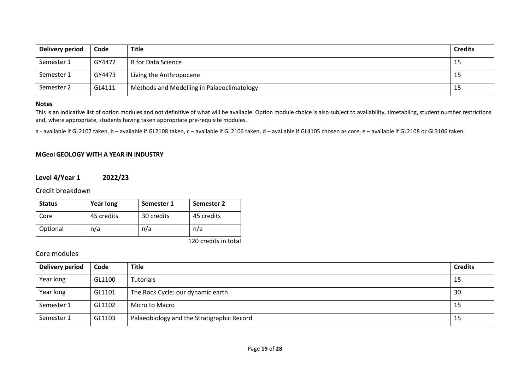| Delivery period | Code   | <b>Title</b>                               | <b>Credits</b> |
|-----------------|--------|--------------------------------------------|----------------|
| Semester 1      | GY4472 | R for Data Science                         | 15             |
| Semester 1      | GY4473 | Living the Anthropocene                    | 15             |
| Semester 2      | GL4111 | Methods and Modelling in Palaeoclimatology | 15             |

#### **Notes**

This is an indicative list of option modules and not definitive of what will be available. Option module choice is also subject to availability, timetabling, student number restrictions and, where appropriate, students having taken appropriate pre-requisite modules.

a - available if GL2107 taken, b - available if GL2108 taken, c - available if GL2106 taken, d - available if GL4105 chosen as core, e - available if GL2108 or GL3106 taken.

#### **MGeol GEOLOGY WITH A YEAR IN INDUSTRY**

### **Level 4/Year 1 2022/23**

Credit breakdown

| <b>Status</b> | <b>Year long</b> | Semester 1 | Semester 2                                              |
|---------------|------------------|------------|---------------------------------------------------------|
| Core          | 45 credits       | 30 credits | 45 credits                                              |
| Optional      | n/a              | n/a        | n/a                                                     |
|               |                  |            | $1.20 \pm 0.00$ and $1.11 \pm 0.00$ and $1.11 \pm 0.00$ |

120 credits in total

| Delivery period | Code   | <b>Title</b>                               | <b>Credits</b> |
|-----------------|--------|--------------------------------------------|----------------|
| Year long       | GL1100 | Tutorials                                  | 15             |
| Year long       | GL1101 | The Rock Cycle: our dynamic earth          | 30             |
| Semester 1      | GL1102 | Micro to Macro                             | 15             |
| Semester 1      | GL1103 | Palaeobiology and the Stratigraphic Record | 15             |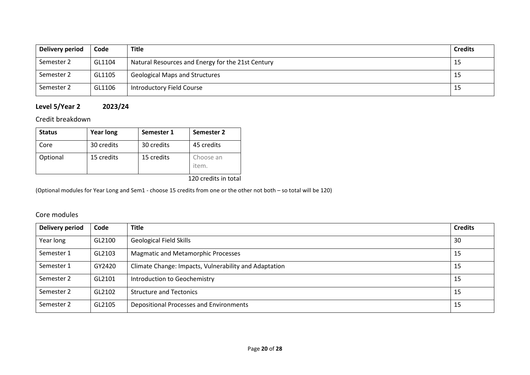| Delivery period | Code   | Title                                             | <b>Credits</b> |
|-----------------|--------|---------------------------------------------------|----------------|
| Semester 2      | GL1104 | Natural Resources and Energy for the 21st Century | -15            |
| Semester 2      | GL1105 | <b>Geological Maps and Structures</b>             | -15            |
| Semester 2      | GL1106 | Introductory Field Course                         | -15            |

# **Level 5/Year 2 2023/24**

Credit breakdown

| <b>Status</b> | <b>Year long</b> | Semester 1 | Semester 2         |
|---------------|------------------|------------|--------------------|
| Core          | 30 credits       | 30 credits | 45 credits         |
| Optional      | 15 credits       | 15 credits | Choose an<br>item. |

120 credits in total

(Optional modules for Year Long and Sem1 - choose 15 credits from one or the other not both – so total will be 120)

| Delivery period | Code   | <b>Title</b>                                          | <b>Credits</b> |
|-----------------|--------|-------------------------------------------------------|----------------|
| Year long       | GL2100 | <b>Geological Field Skills</b>                        | 30             |
| Semester 1      | GL2103 | <b>Magmatic and Metamorphic Processes</b>             | 15             |
| Semester 1      | GY2420 | Climate Change: Impacts, Vulnerability and Adaptation | 15             |
| Semester 2      | GL2101 | Introduction to Geochemistry                          | 15             |
| Semester 2      | GL2102 | <b>Structure and Tectonics</b>                        | -15            |
| Semester 2      | GL2105 | Depositional Processes and Environments               | 15             |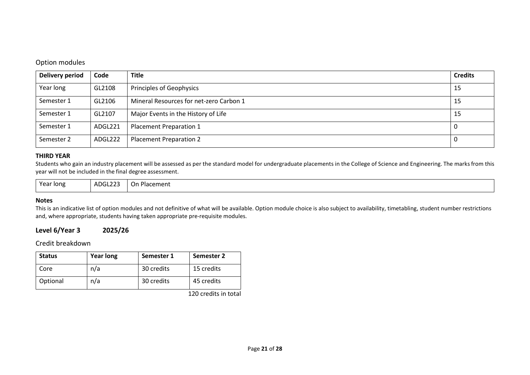#### Option modules

| Delivery period | Code    | <b>Title</b>                            | <b>Credits</b> |
|-----------------|---------|-----------------------------------------|----------------|
| Year long       | GL2108  | Principles of Geophysics                | 15             |
| Semester 1      | GL2106  | Mineral Resources for net-zero Carbon 1 | 15             |
| Semester 1      | GL2107  | Major Events in the History of Life     | 15             |
| Semester 1      | ADGL221 | Placement Preparation 1                 | 0              |
| Semester 2      | ADGL222 | Placement Preparation 2                 | U              |

#### **THIRD YEAR**

Students who gain an industry placement will be assessed as per the standard model for undergraduate placements in the College of Science and Engineering. The marks from this year will not be included in the final degree assessment.

| Year long | ADGL223 | On Placement |
|-----------|---------|--------------|
|-----------|---------|--------------|

#### **Notes**

This is an indicative list of option modules and not definitive of what will be available. Option module choice is also subject to availability, timetabling, student number restrictions and, where appropriate, students having taken appropriate pre-requisite modules.

#### **Level 6/Year 3 2025/26**

### Credit breakdown

| <b>Status</b> | <b>Year long</b> | Semester 1 | Semester 2 |
|---------------|------------------|------------|------------|
| Core          | n/a              | 30 credits | 15 credits |
| Optional      | n/a              | 30 credits | 45 credits |

120 credits in total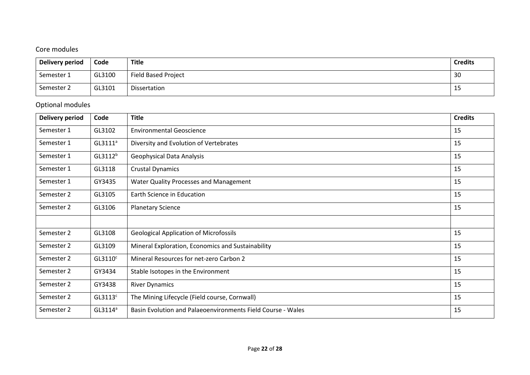# Core modules

| Delivery period | Code   | <b>Title</b>               | <b>Credits</b> |
|-----------------|--------|----------------------------|----------------|
| Semester 1      | GL3100 | <b>Field Based Project</b> | 30             |
| Semester 2      | GL3101 | Dissertation               | 15             |

# Optional modules

| Delivery period | Code                | <b>Title</b>                                                | <b>Credits</b> |
|-----------------|---------------------|-------------------------------------------------------------|----------------|
| Semester 1      | GL3102              | <b>Environmental Geoscience</b>                             | 15             |
| Semester 1      | GL3111 <sup>a</sup> | Diversity and Evolution of Vertebrates                      | 15             |
| Semester 1      | GL3112 <sup>b</sup> | <b>Geophysical Data Analysis</b>                            | 15             |
| Semester 1      | GL3118              | <b>Crustal Dynamics</b>                                     | 15             |
| Semester 1      | GY3435              | Water Quality Processes and Management                      | 15             |
| Semester 2      | GL3105              | Earth Science in Education                                  | 15             |
| Semester 2      | GL3106              | <b>Planetary Science</b>                                    | 15             |
|                 |                     |                                                             |                |
| Semester 2      | GL3108              | <b>Geological Application of Microfossils</b>               | 15             |
| Semester 2      | GL3109              | Mineral Exploration, Economics and Sustainability           | 15             |
| Semester 2      | GL3110 <sup>c</sup> | Mineral Resources for net-zero Carbon 2                     | 15             |
| Semester 2      | GY3434              | Stable Isotopes in the Environment                          | 15             |
| Semester 2      | GY3438              | <b>River Dynamics</b>                                       | 15             |
| Semester 2      | GL3113 <sup>c</sup> | The Mining Lifecycle (Field course, Cornwall)               | 15             |
| Semester 2      | GL3114 <sup>a</sup> | Basin Evolution and Palaeoenvironments Field Course - Wales | 15             |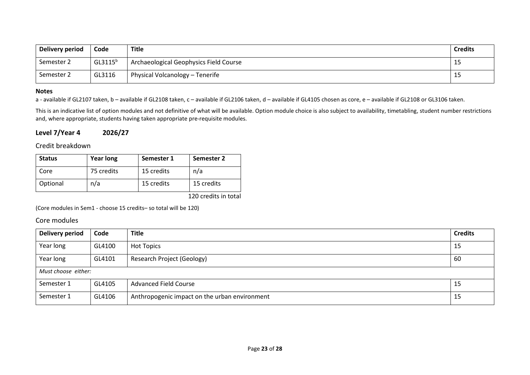| Delivery period | Code       | <b>Title</b>                           | <b>Credits</b> |
|-----------------|------------|----------------------------------------|----------------|
| Semester 2      | $GL3115^b$ | Archaeological Geophysics Field Course | 15             |
| Semester 2      | GL3116     | Physical Volcanology - Tenerife        | 15             |

#### **Notes**

a - available if GL2107 taken, b - available if GL2108 taken, c - available if GL2106 taken, d - available if GL4105 chosen as core, e - available if GL2108 or GL3106 taken.

This is an indicative list of option modules and not definitive of what will be available. Option module choice is also subject to availability, timetabling, student number restrictions and, where appropriate, students having taken appropriate pre-requisite modules.

#### **Level 7/Year 4 2026/27**

#### Credit breakdown

| <b>Status</b> | <b>Year long</b> | Semester 1 | Semester 2                                                                                                                                                                                                                                                                                                                                                         |
|---------------|------------------|------------|--------------------------------------------------------------------------------------------------------------------------------------------------------------------------------------------------------------------------------------------------------------------------------------------------------------------------------------------------------------------|
| Core          | 75 credits       | 15 credits | n/a                                                                                                                                                                                                                                                                                                                                                                |
| Optional      | n/a              | 15 credits | 15 credits                                                                                                                                                                                                                                                                                                                                                         |
|               |                  |            | $\overline{100}$ $\overline{111}$ $\overline{111}$ $\overline{11}$ $\overline{11}$ $\overline{11}$ $\overline{11}$ $\overline{11}$ $\overline{11}$ $\overline{11}$ $\overline{11}$ $\overline{11}$ $\overline{11}$ $\overline{11}$ $\overline{11}$ $\overline{11}$ $\overline{11}$ $\overline{11}$ $\overline{11}$ $\overline{11}$ $\overline{11}$ $\overline{11}$ |

120 credits in total

(Core modules in Sem1 - choose 15 credits– so total will be 120)

| Delivery period     | Code   | <b>Title</b>                                  | <b>Credits</b> |
|---------------------|--------|-----------------------------------------------|----------------|
| Year long           | GL4100 | <b>Hot Topics</b>                             | 15             |
| Year long           | GL4101 | Research Project (Geology)                    | 60             |
| Must choose either: |        |                                               |                |
| Semester 1          | GL4105 | <b>Advanced Field Course</b>                  | 15             |
| Semester 1          | GL4106 | Anthropogenic impact on the urban environment | 15             |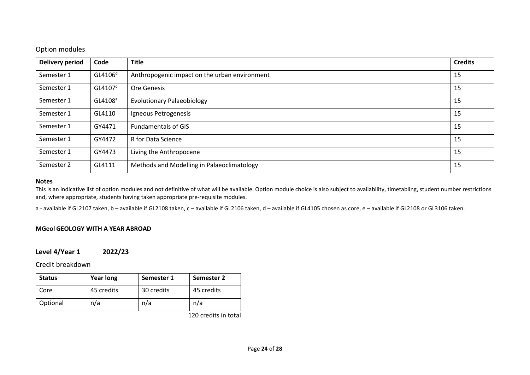### Option modules

| <b>Delivery period</b> | Code                | <b>Title</b>                                  | <b>Credits</b> |
|------------------------|---------------------|-----------------------------------------------|----------------|
| Semester 1             | GL4106 <sup>d</sup> | Anthropogenic impact on the urban environment | 15             |
| Semester 1             | GL4107 <sup>c</sup> | Ore Genesis                                   | 15             |
| Semester 1             | GL4108 <sup>a</sup> | <b>Evolutionary Palaeobiology</b>             | 15             |
| Semester 1             | GL4110              | Igneous Petrogenesis                          | 15             |
| Semester 1             | GY4471              | <b>Fundamentals of GIS</b>                    | 15             |
| Semester 1             | GY4472              | R for Data Science                            | 15             |
| Semester 1             | GY4473              | Living the Anthropocene                       | 15             |
| Semester 2             | GL4111              | Methods and Modelling in Palaeoclimatology    | 15             |

#### **Notes**

This is an indicative list of option modules and not definitive of what will be available. Option module choice is also subject to availability, timetabling, student number restrictions and, where appropriate, students having taken appropriate pre-requisite modules.

a - available if GL2107 taken, b - available if GL2108 taken, c - available if GL2106 taken, d - available if GL4105 chosen as core, e - available if GL2108 or GL3106 taken.

#### **MGeol GEOLOGY WITH A YEAR ABROAD**

### **Level 4/Year 1 2022/23**

Credit breakdown

| <b>Status</b> | <b>Year long</b> | Semester 1 | Semester 2 |
|---------------|------------------|------------|------------|
| Core          | 45 credits       | 30 credits | 45 credits |
| Optional      | n/a              | n/a        | n/a        |

120 credits in total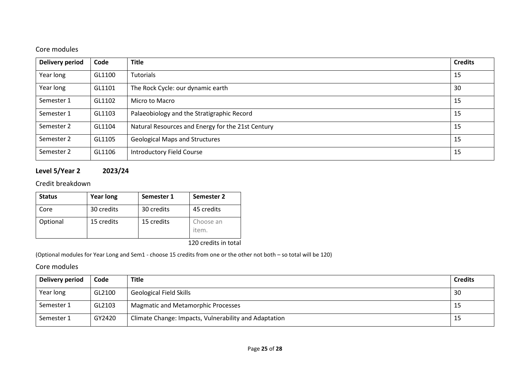# Core modules

| <b>Delivery period</b> | Code   | <b>Title</b>                                      | <b>Credits</b> |
|------------------------|--------|---------------------------------------------------|----------------|
| Year long              | GL1100 | Tutorials                                         | 15             |
| Year long              | GL1101 | The Rock Cycle: our dynamic earth                 | 30             |
| Semester 1             | GL1102 | Micro to Macro                                    | 15             |
| Semester 1             | GL1103 | Palaeobiology and the Stratigraphic Record        | 15             |
| Semester 2             | GL1104 | Natural Resources and Energy for the 21st Century | 15             |
| Semester 2             | GL1105 | <b>Geological Maps and Structures</b>             | 15             |
| Semester 2             | GL1106 | <b>Introductory Field Course</b>                  | 15             |

# **Level 5/Year 2 2023/24**

## Credit breakdown

| <b>Status</b> | <b>Year long</b> | Semester 1 | Semester 2         |
|---------------|------------------|------------|--------------------|
| Core          | 30 credits       | 30 credits | 45 credits         |
| Optional      | 15 credits       | 15 credits | Choose an<br>item. |

120 credits in total

(Optional modules for Year Long and Sem1 - choose 15 credits from one or the other not both – so total will be 120)

| Delivery period | Code   | <b>Title</b>                                          | <b>Credits</b> |
|-----------------|--------|-------------------------------------------------------|----------------|
| Year long       | GL2100 | <b>Geological Field Skills</b>                        | -30            |
| Semester 1      | GL2103 | <b>Magmatic and Metamorphic Processes</b>             | -15            |
| Semester 1      | GY2420 | Climate Change: Impacts, Vulnerability and Adaptation | -15            |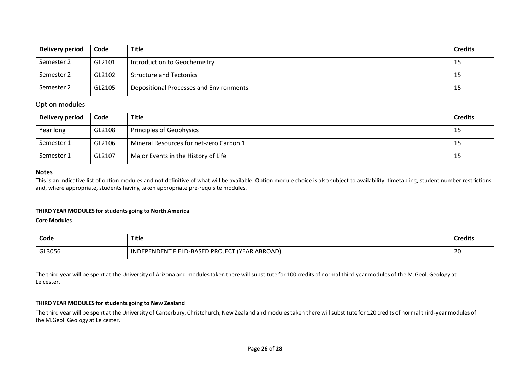| Delivery period | Code   | <b>Title</b>                            | <b>Credits</b> |
|-----------------|--------|-----------------------------------------|----------------|
| Semester 2      | GL2101 | Introduction to Geochemistry            | 15             |
| Semester 2      | GL2102 | <b>Structure and Tectonics</b>          | 15             |
| Semester 2      | GL2105 | Depositional Processes and Environments | 15             |

#### Option modules

| Delivery period | Code   | <b>Title</b>                            | <b>Credits</b> |
|-----------------|--------|-----------------------------------------|----------------|
| Year long       | GL2108 | Principles of Geophysics                | 15             |
| Semester 1      | GL2106 | Mineral Resources for net-zero Carbon 1 | -15            |
| Semester 1      | GL2107 | Major Events in the History of Life     | 15             |

#### **Notes**

This is an indicative list of option modules and not definitive of what will be available. Option module choice is also subject to availability, timetabling, student number restrictions and, where appropriate, students having taken appropriate pre-requisite modules.

#### **THIRD YEAR MODULES for students going to North America**

#### **Core Modules**

| Code   | <b>Title</b><br>___                                                                 | <b>Credits</b> |
|--------|-------------------------------------------------------------------------------------|----------------|
| GL3056 | PROJECT <i>د</i><br>(YEAR ABROAD)<br><sup>-</sup> FIELD-BASED<br><b>INDEPENDENT</b> | 20             |

The third year will be spent at the University of Arizona and modules taken there will substitute for 100 credits of normal third-year modules of the M.Geol. Geology at Leicester.

#### **THIRD YEAR MODULES for students going to New Zealand**

The third year will be spent at the University of Canterbury, Christchurch, New Zealand and modules taken there will substitute for 120 credits of normal third-year modules of the M.Geol. Geology at Leicester.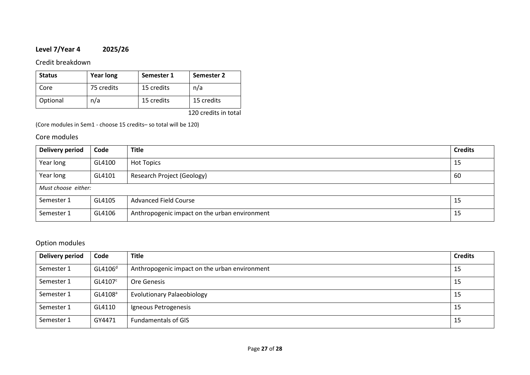# **Level 7/Year 4 2025/26**

Credit breakdown

| <b>Status</b> | <b>Year long</b> | Semester 1 | Semester 2 |
|---------------|------------------|------------|------------|
| Core          | 75 credits       | 15 credits | n/a        |
| Optional      | n/a              | 15 credits | 15 credits |

120 credits in total

(Core modules in Sem1 - choose 15 credits– so total will be 120)

### Core modules

| Delivery period     | Code   | <b>Title</b>                                  | <b>Credits</b> |
|---------------------|--------|-----------------------------------------------|----------------|
| Year long           | GL4100 | <b>Hot Topics</b>                             | 15             |
| Year long           | GL4101 | <b>Research Project (Geology)</b>             | 60             |
| Must choose either: |        |                                               |                |
| Semester 1          | GL4105 | <b>Advanced Field Course</b>                  | 15             |
| Semester 1          | GL4106 | Anthropogenic impact on the urban environment | 15             |

## Option modules

| <b>Delivery period</b> | Code                | <b>Title</b>                                  | <b>Credits</b> |
|------------------------|---------------------|-----------------------------------------------|----------------|
| Semester 1             | GL4106 <sup>d</sup> | Anthropogenic impact on the urban environment | 15             |
| Semester 1             | GL4107 <sup>c</sup> | Ore Genesis                                   | 15             |
| Semester 1             | GL4108 <sup>a</sup> | <b>Evolutionary Palaeobiology</b>             | 15             |
| Semester 1             | GL4110              | Igneous Petrogenesis                          | 15             |
| Semester 1             | GY4471              | <b>Fundamentals of GIS</b>                    | 15             |